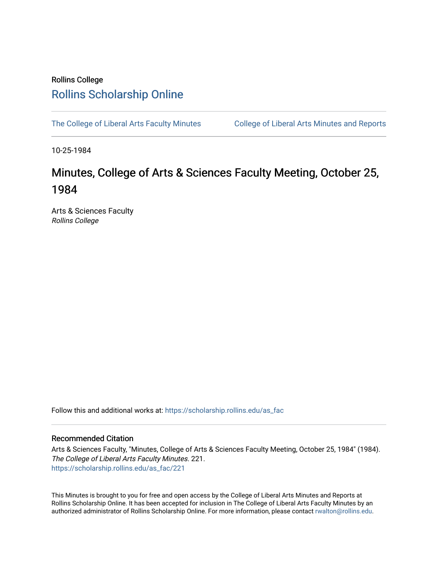# Rollins College [Rollins Scholarship Online](https://scholarship.rollins.edu/)

[The College of Liberal Arts Faculty Minutes](https://scholarship.rollins.edu/as_fac) College of Liberal Arts Minutes and Reports

10-25-1984

# Minutes, College of Arts & Sciences Faculty Meeting, October 25, 1984

Arts & Sciences Faculty Rollins College

Follow this and additional works at: [https://scholarship.rollins.edu/as\\_fac](https://scholarship.rollins.edu/as_fac?utm_source=scholarship.rollins.edu%2Fas_fac%2F221&utm_medium=PDF&utm_campaign=PDFCoverPages) 

## Recommended Citation

Arts & Sciences Faculty, "Minutes, College of Arts & Sciences Faculty Meeting, October 25, 1984" (1984). The College of Liberal Arts Faculty Minutes. 221. [https://scholarship.rollins.edu/as\\_fac/221](https://scholarship.rollins.edu/as_fac/221?utm_source=scholarship.rollins.edu%2Fas_fac%2F221&utm_medium=PDF&utm_campaign=PDFCoverPages) 

This Minutes is brought to you for free and open access by the College of Liberal Arts Minutes and Reports at Rollins Scholarship Online. It has been accepted for inclusion in The College of Liberal Arts Faculty Minutes by an authorized administrator of Rollins Scholarship Online. For more information, please contact [rwalton@rollins.edu](mailto:rwalton@rollins.edu).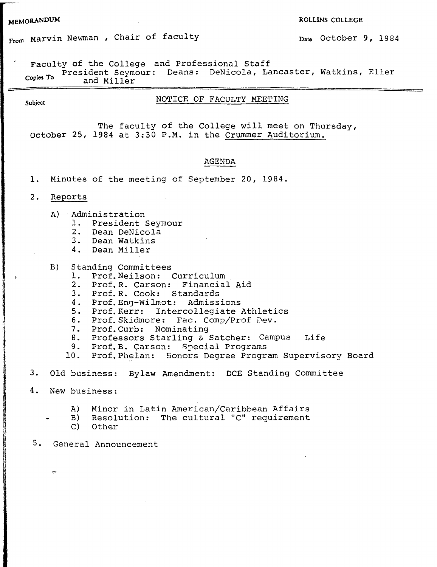## **MEMORANDUM** ROLLINS COLLEGE

# From Marvin Newman , Chair of faculty **Date October 9, 1984**

Faculty of the College and Professional Staff

President Seymour: Deans: DeNicola, Lancaster, Watkins, Eller Copies To Freshbell Seymond Miller

# Subject **NOTICE OF FACULTY MEETING**

The faculty of the College will meet on Thursday, October 25, 1984 at 3:30 P.M. in the Crummer Auditorium.

## AGENDA

- 1. Minutes of the meeting of September 20, 1984.
- 2. Reports
	- A) Administration
		- 1. President Seymour
		- 2. Dean DeNicola
		- 3. Dean Watkins
		- 4. Dean Miller
	- B) Standing Committees
		- 1. Prof.Neilson: Curriculum
		- 2. Prof.R. Carson: Financial Aid
		- 3. Prof.R. Cook: Standards
		- 4. Prof.Eng-Wilmot: Admissions
		- 5. Prof.Kerr: Intercollegiate Athletics
		- 6. Prof. Skidmore: Fac. Comp/Prof Dev.
		- 7. Prof.Curb: Nominating
		- 8. Professors Starling & Satcher: Campus Life
		- 9. Prof.B. Carson: Special Programs
		- 10. Prof. Phelan: Honors Degree Program Supervisory Board
- 3. Old business: Bylaw Amendment: DCE Standing Committee
- **4. New** business:

 $585$ 

- A) Minor in Latin American/Caribbean Affairs
- B) Resolution: The cultural "C" requirement
	- C) Other
- 5. General Announcement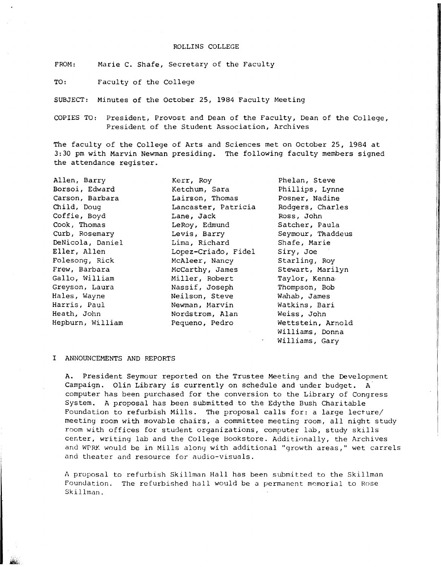#### ROLLINS COLLEGE

FROM: Marie C. Shafe, Secretary of the Faculty

TO: Faculty of the College

SUBJECT: Minutes of the October 25, 1984 Faculty Meeting

Kerr, Roy Ketchum, Sara

COPIES TO: President, Provost and Dean of the Faculty, Dean of the College, President of the Student Association, Archives

The faculty of the College of Arts and Sciences met on October 25, 1984 at 3:30 pm with Marvin Newman presiding. The following faculty members signed the attendance register.

Allen, Barry Borsoi, Edward Carson, Barbara Child, Doug Coffie, Boyd Cook, Thomas Curb, Rosemary DeNicola, Daniel Eller, Allen Folesong, Rick Frew, Barbara Gallo, William Greyson, Laura Hales, Wayne Harris, Paul Heath, John Hepburn, William

Lairson, Thomas Lancaster, Patricia Lane, Jack LeRoy, Edmund Levis, Barry Lima, Richard Lopez-Criado, Fidel McAleer, Nancy McCarthy, James Miller, Robert Nassif, Joseph Neilson, Steve Newman, Marvin Nordstrom, Alan Pequeno, Pedro

Phelan, Steve Phillips, Lynne Posner, Nadine Rodgers, Charles Ross, John Satcher, Paula Seymour, Thaddeus Shafe, Marie Siry, Joe Starling, Roy Stewart, Marilyn Taylor, Kenna-Thompson, Bob Wahab, James Watkins, Bari Weiss, John Wettstein, Arnold Williams, Donna Williams, Gary

### I ANNOUNCEMENTS AND REPORTS

A. President Seymour reported on the Trustee Meeting and the Development Campaign. Olin Library is currently on schedule and under budget. A computer has been purchased for the conversion to the Library of Congress System. A proposal has been submitted to the Edythe Bush Charitable Foundation to refurbish Mills. The proposal calls for: a large lecture/ meeting room with movable chairs, a committee meeting room, all night study room with offices for student organizations, computer lab, study skills center, writing lab and the College Bookstore. Additinnally, the Archives and WPRK would be in Mills alony with additional "growth areas," wet carrels and theater and resource for audio-visuals.

A proposal to refurbish Skillman Hall has been submitted to the Skillman Foundation. The refurbished hall would be a permanent memorial to Rose Skillman.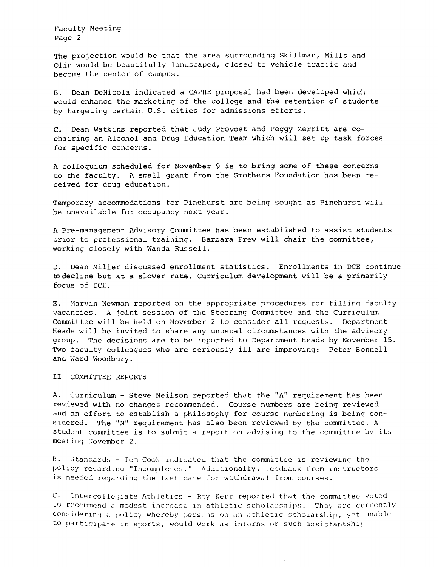The projection would be that the area surrounding Skillman, Mills and Olin would be beautifully landscaped, closed to vehicle traffic and become the center of campus.

B. Dean DeNicola indicated a CAPHE proposal had been developed which would enhance the marketing of the college and the retention of students by targeting certain U.S. cities for admissions efforts.

c. Dean Watkins reported that Judy Provost and Peggy Merritt are cochairing an Alcohol and Drug Education Team which will set up task forces for specific concerns.

A colloquium scheduled for November 9 is to bring some of these concerns to the faculty. A small grant from the Smothers Foundation has been received for drug education.

Temporary accommodations for Pinehurst are being sought as Pinehurst will be unavailable for occupancy next year.

A Pre-management Advisory committee has been established to assist students prior to professional training. Barbara Frew will chair the committee, working closely with Wanda Russell.

D. Dean Miller discussed enrollment statistics. Enrollments in DCE continue to decline but at a slower rate. Curriculum development will be a primarily focus of DCE.

E. Marvin Newman reported on the appropriate procedures for filling faculty vacancies. A joint session of the Steering Committee and the Curriculum Committee will be held on November 2 to consider all requests. Department Heads will be invited to share any unusual circumstances with the advisory group. The decisions are to be reported to Department Heads by November 15. Two faculty colleagues who are seriously **ill** are improving: Peter Bonnell and Ward Woodbury.

II COMMITTEE REPORTS

A. Curriculum - Steve Neilson reported that the "A" requirement has been reviewed with no changes recommended. Course numbers are being reviewed and an effort to establish a philosophy for course numbering is being considered. The "N" requirement has also been reviewed by the committee. A student committee is to submit a report on advising to the committee by its meeting November 2.

 $B$ . Standards - Tom Cook indicated that the committee is reviewing the policy regarding "Incompletes." Additionally, feedback from instructors is needed requarding the last date for withdrawal from courses.

C. Intercollegiate Athletics - Roy Kerr reported that the committee voted to recommend a modest increase in athletic scholarships. They are currently considering a policy whereby persons on an athletic scholarship, yet unable to participate in sports, would work as interns or such assistantship.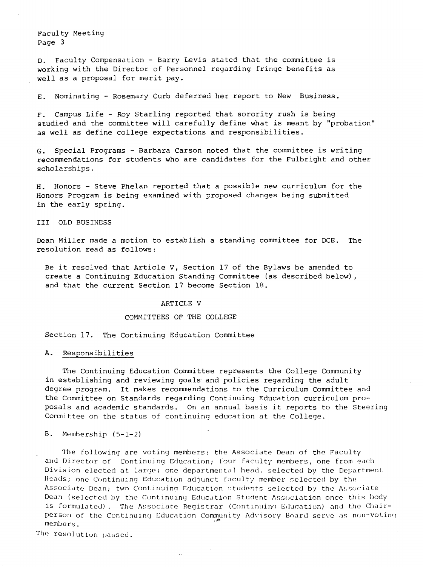D. Faculty Compensution - Barry Levis stated that the committee is working with the Director of Personnel regarding fringe benefits as well as a proposal for merit pay.

E. Nominating - Rosemary Curb deferred her report to New Business.

F. Campus Life - Roy Starling reported that sorority rush is being studied and the committee will carefully define what is meant by "probation" as well as define college expectations and responsibilities.

G. Special Programs - Barbara Carson noted that the committee is writing recommendations for students who are candidates for the Fulbright and other scholarships.

H. Honors - Steve Phelan reported that a possible new curriculum for the Honors Program is being examined with proposed changes being submitted in the early spring.

III OLD BUSINESS

Dean Miller made a motion to establish a standing committee for DCE. The resolution read as follows:

Be it resolved that Article V, Section 17 of the Bylaws be amended to create a Continuing Education Standing Committee (as described below), and that the current Section 17 become Section 18.

### ARTICLE V

### COMMITTEES OF THE COLLEGE

Section 17. The Continuing Education Committee

#### A. Responsibilities

The Continuing Education Committee represents the College Community in establishing and reviewing goals and policies regarding the adult degree program. It makes recommendations to the Curriculum Committee and the Committee on Standards regarding Continuing Education curriculum proposals and academic standards. On an annual basis *it* reports to the Steering Committee on the status of continuing education at the College.

#### B. Membership (5-1-2)

The following are voting members: the Associate Dean of the Faculty and Director of Continuing Education; four faculty members, one from each Division elected at large; one departmental head, selected by the Department Heads; one Continuing Education adjunct faculty member selected by the Associate Dean; two Continuing Education students selected by the Associate Dean (selected by the Continuing Education Student Association once this body is formulated). The Associate Registrar (Continuing Education) and the Chairperson of the Continuing Education Community Advisory Board serve as non-voting *members.* 

The resolution passed.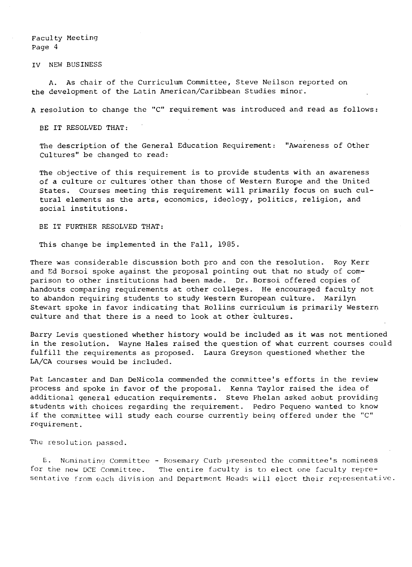IV NEW BUSINESS

**A.** As chair of the Curriculum Committee, Steve Neilson reported on the development of the Latin American/Caribbean Studies minor.

A resolution to change the "C" requirement was introduced and read as follows:

BE IT RESOLVED THAT:

The description of the General Education Requirement: "Awareness of Other Cultures" be changed to read:

The objective of this requirement is to provide students with an awareness of a culture or cultures 'other than those of Western Europe and the United States. Courses meeting this requirement will primarily focus on such cultural elements as the arts, economics, ideology, politics, religion, and social institutions.

BE IT FURTHER RESOLVED THAT:

This change be implemented in the Fall, 1985.

There was considerable discussion both pro and con the resolution. Roy Kerr and Ed Borsoi spoke against the proposal pointing out that no study of comparison to other institutions had been made. Dr. Borsoi offered copies of handouts comparing requirements at other colleges. He encouraged faculty not to abandon requiring students to study Western European culture. Marilyn Stewart spoke in favor indicating that Rollins curriculum is primarily Western culture and that there is a need to look at other cultures.

Barry Levis questioned whether history would be included as it was not mentioned in the resolution. Wayne Hales raised the question of what current courses could fulfill the requirements as proposed. Laura Greyson questioned whether the **LA/CA** courses would be included.

Pat Lancaster and Dan DeNicola commended the committee's efforts in the review process and spoke in favor of the proposal. Kenna Taylor raised the idea of additional general education requirements. Steve Phelan asked aobut providing students with choices regarding the requirement. Pedro Pequeno wanted to know if the committee will study each course currently being offered under the "C" requirement.

The resolution passed.

E. Nominating Committee - Rosemary Curb presented the committee's nominees for the new DCE Committee. The entire faculty is to elect one faculty representative from each division and Department Heads will elect their representative.